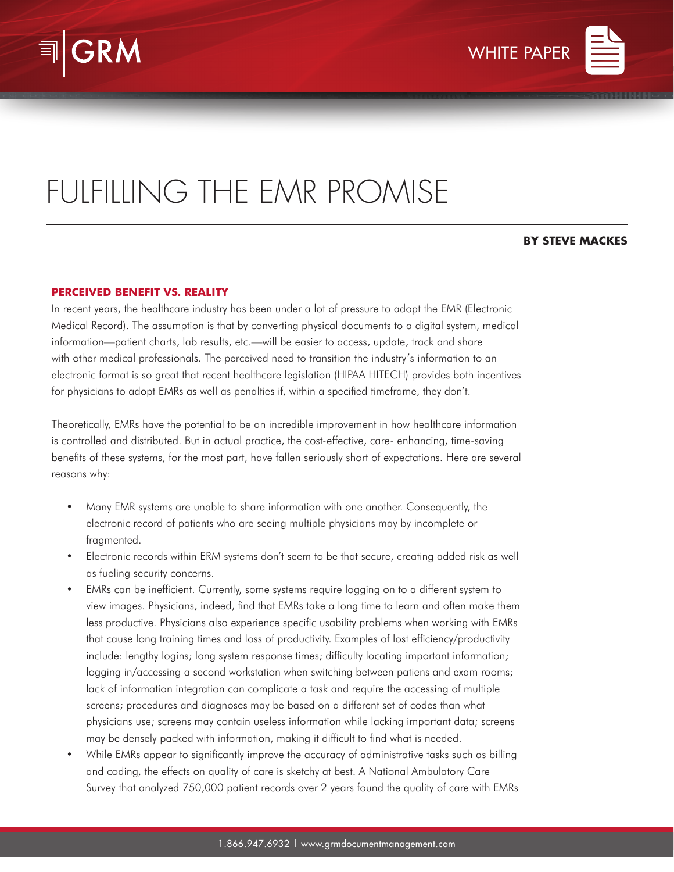



## FULFILLING THE EMR PROMISE

## **BY STEVE MACKES**

## **PERCEIVED BENEFIT VS. REALITY**

In recent years, the healthcare industry has been under a lot of pressure to adopt the EMR (Electronic Medical Record). The assumption is that by converting physical documents to a digital system, medical information—patient charts, lab results, etc.—will be easier to access, update, track and share with other medical professionals. The perceived need to transition the industry's information to an electronic format is so great that recent healthcare legislation (HIPAA HITECH) provides both incentives for physicians to adopt EMRs as well as penalties if, within a specified timeframe, they don't.

Theoretically, EMRs have the potential to be an incredible improvement in how healthcare information is controlled and distributed. But in actual practice, the cost-effective, care- enhancing, time-saving benefits of these systems, for the most part, have fallen seriously short of expectations. Here are several reasons why:

- Many EMR systems are unable to share information with one another. Consequently, the electronic record of patients who are seeing multiple physicians may by incomplete or fragmented.
- Electronic records within ERM systems don't seem to be that secure, creating added risk as well as fueling security concerns.
- EMRs can be inefficient. Currently, some systems require logging on to a different system to view images. Physicians, indeed, find that EMRs take a long time to learn and often make them less productive. Physicians also experience specific usability problems when working with EMRs that cause long training times and loss of productivity. Examples of lost efficiency/productivity include: lengthy logins; long system response times; difficulty locating important information; logging in/accessing a second workstation when switching between patiens and exam rooms; lack of information integration can complicate a task and require the accessing of multiple screens; procedures and diagnoses may be based on a different set of codes than what physicians use; screens may contain useless information while lacking important data; screens may be densely packed with information, making it difficult to find what is needed.
- While EMRs appear to significantly improve the accuracy of administrative tasks such as billing and coding, the effects on quality of care is sketchy at best. A National Ambulatory Care Survey that analyzed 750,000 patient records over 2 years found the quality of care with EMRs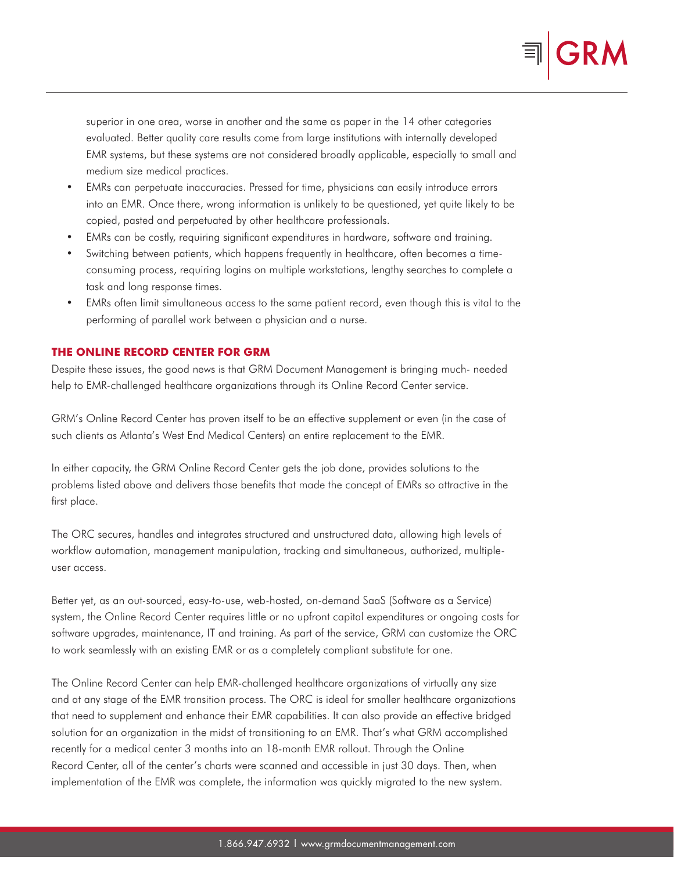

superior in one area, worse in another and the same as paper in the 14 other categories evaluated. Better quality care results come from large institutions with internally developed EMR systems, but these systems are not considered broadly applicable, especially to small and medium size medical practices.

- EMRs can perpetuate inaccuracies. Pressed for time, physicians can easily introduce errors into an EMR. Once there, wrong information is unlikely to be questioned, yet quite likely to be copied, pasted and perpetuated by other healthcare professionals.
- EMRs can be costly, requiring significant expenditures in hardware, software and training.
- Switching between patients, which happens frequently in healthcare, often becomes a timeconsuming process, requiring logins on multiple workstations, lengthy searches to complete a task and long response times.
- EMRs often limit simultaneous access to the same patient record, even though this is vital to the performing of parallel work between a physician and a nurse.

## **THE ONLINE RECORD CENTER FOR GRM**

Despite these issues, the good news is that GRM Document Management is bringing much- needed help to EMR-challenged healthcare organizations through its Online Record Center service.

GRM's Online Record Center has proven itself to be an effective supplement or even (in the case of such clients as Atlanta's West End Medical Centers) an entire replacement to the EMR.

In either capacity, the GRM Online Record Center gets the job done, provides solutions to the problems listed above and delivers those benefits that made the concept of EMRs so attractive in the first place.

The ORC secures, handles and integrates structured and unstructured data, allowing high levels of workflow automation, management manipulation, tracking and simultaneous, authorized, multipleuser access.

Better yet, as an out-sourced, easy-to-use, web-hosted, on-demand SaaS (Software as a Service) system, the Online Record Center requires little or no upfront capital expenditures or ongoing costs for software upgrades, maintenance, IT and training. As part of the service, GRM can customize the ORC to work seamlessly with an existing EMR or as a completely compliant substitute for one.

The Online Record Center can help EMR-challenged healthcare organizations of virtually any size and at any stage of the EMR transition process. The ORC is ideal for smaller healthcare organizations that need to supplement and enhance their EMR capabilities. It can also provide an effective bridged solution for an organization in the midst of transitioning to an EMR. That's what GRM accomplished recently for a medical center 3 months into an 18-month EMR rollout. Through the Online Record Center, all of the center's charts were scanned and accessible in just 30 days. Then, when implementation of the EMR was complete, the information was quickly migrated to the new system.